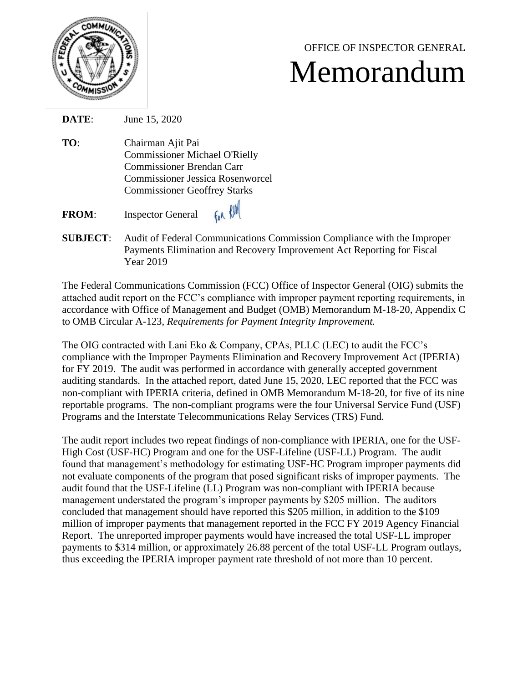

## OFFICE OF INSPECTOR GENERAL Memorandum

**DATE**: June 15, 2020

**TO**: Chairman Ajit Pai Commissioner Michael O'Rielly Commissioner Brendan Carr Commissioner Jessica Rosenworcel Commissioner Geoffrey Starks

FOR RUM **FROM**: Inspector General

**SUBJECT**: Audit of Federal Communications Commission Compliance with the Improper Payments Elimination and Recovery Improvement Act Reporting for Fiscal Year 2019

The Federal Communications Commission (FCC) Office of Inspector General (OIG) submits the attached audit report on the FCC's compliance with improper payment reporting requirements, in accordance with Office of Management and Budget (OMB) Memorandum M-18-20, Appendix C to OMB Circular A-123, *Requirements for Payment Integrity Improvement.* 

The OIG contracted with Lani Eko & Company, CPAs, PLLC (LEC) to audit the FCC's compliance with the Improper Payments Elimination and Recovery Improvement Act (IPERIA) for FY 2019. The audit was performed in accordance with generally accepted government auditing standards. In the attached report, dated June 15, 2020, LEC reported that the FCC was non-compliant with IPERIA criteria, defined in OMB Memorandum M-18-20, for five of its nine reportable programs. The non-compliant programs were the four Universal Service Fund (USF) Programs and the Interstate Telecommunications Relay Services (TRS) Fund.

The audit report includes two repeat findings of non-compliance with IPERIA, one for the USF-High Cost (USF-HC) Program and one for the USF-Lifeline (USF-LL) Program. The audit found that management's methodology for estimating USF-HC Program improper payments did not evaluate components of the program that posed significant risks of improper payments. The audit found that the USF-Lifeline (LL) Program was non-compliant with IPERIA because management understated the program's improper payments by \$205 million. The auditors concluded that management should have reported this \$205 million, in addition to the \$109 million of improper payments that management reported in the FCC FY 2019 Agency Financial Report. The unreported improper payments would have increased the total USF-LL improper payments to \$314 million, or approximately 26.88 percent of the total USF-LL Program outlays, thus exceeding the IPERIA improper payment rate threshold of not more than 10 percent.